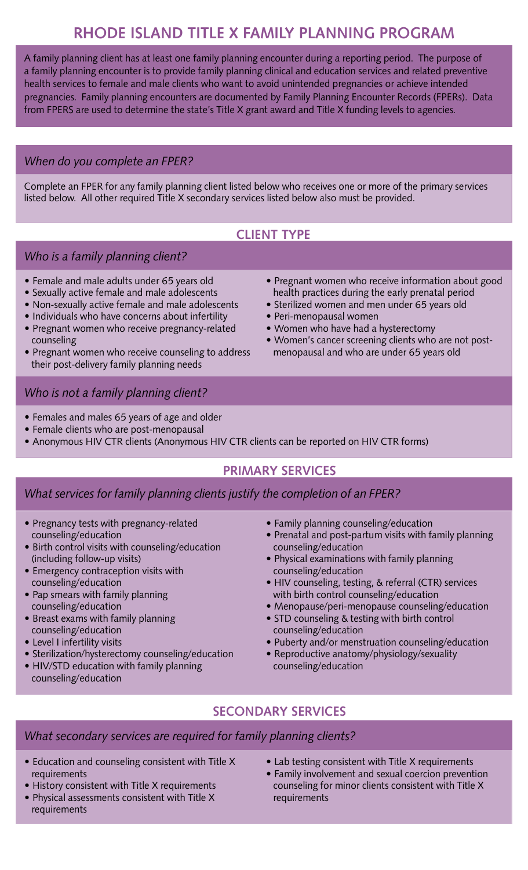# **RHODE ISLAND TITLE X FAMILY PLANNING PROGRAM**

A family planning client has at least one family planning encounter during a reporting period. The purpose of a family planning encounter is to provide family planning clinical and education services and related preventive health services to female and male clients who want to avoid unintended pregnancies or achieve intended pregnancies. Family planning encounters are documented by Family Planning Encounter Records (FPERs). Data from FPERS are used to determine the state's Title X grant award and Title X funding levels to agencies.

## *When do you complete an FPER?*

Complete an FPER for any family planning client listed below who receives one or more of the primary services listed below. All other required Title X secondary services listed below also must be provided.

# **CLIENT TYPE**

## *Who is a family planning client?*

- Female and male adults under 65 years old
- Sexually active female and male adolescents
- Non-sexually active female and male adolescents
- Individuals who have concerns about infertility
- Pregnant women who receive pregnancy-related counseling
- Pregnant women who receive counseling to address their post-delivery family planning needs
- Pregnant women who receive information about good health practices during the early prenatal period
- Sterilized women and men under 65 years old
- Peri-menopausal women
- Women who have had a hysterectomy
- Women's cancer screening clients who are not post menopausal and who are under 65 years old

## *Who is not a family planning client?*

- Females and males 65 years of age and older
- Female clients who are post-menopausal
- Anonymous HIV CTR clients (Anonymous HIV CTR clients can be reported on HIV CTR forms)

## **PRIMARY SERVICES**

### *What services for family planning clients justify the completion of an FPER?*

- Pregnancy tests with pregnancy-related counseling/education
- Birth control visits with counseling/education (including follow-up visits)
- Emergency contraception visits with counseling/education
- Pap smears with family planning counseling/education
- Breast exams with family planning counseling/education
- Level I infertility visits

- Sterilization/hysterectomy counseling/education
- HIV/STD education with family planning counseling/education
- Family planning counseling/education
- Prenatal and post-partum visits with family planning counseling/education
- Physical examinations with family planning counseling/education
- HIV counseling, testing, & referral (CTR) services with birth control counseling/education
- Menopause/peri-menopause counseling/education
- STD counseling & testing with birth control counseling/education
- Puberty and/or menstruation counseling/education
- Reproductive anatomy/physiology/sexuality counseling/education

# **SECONDARY SERVICES**

### *What secondary services are required for family planning clients?*

- Education and counseling consistent with Title X requirements
- History consistent with Title X requirements
- Physical assessments consistent with Title X requirements
- Lab testing consistent with Title X requirements
- Family involvement and sexual coercion prevention counseling for minor clients consistent with Title X requirements